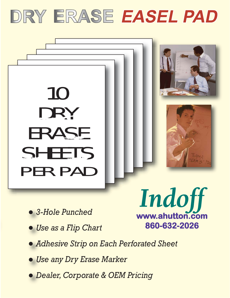



- *3-Hole Punched*
- *Use as a Flip Chart*

Indoff www.ahutton.com 860-632-2026

- *Adhesive Strip on Each Perforated Sheet*
- *Use any Dry Erase Marker*
- *Dealer, Corporate & OEM Pricing*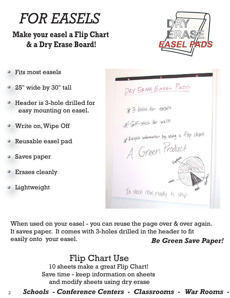

# **Make your easel a Flip Chart & a Dry Erase Board!**



- Fits most easels
- 25" wide by 30" tall
- Header is 3-hole drilled for easy mounting on easel.
- Write on, Wipe Off
- Reusable easel pad
- Saves paper
- Erases cleanly
- Lightweight

DRY ERASE EASEL PADS  $*3$  Holes for easels \* Self-stick for walls \* Recycle information by using a flip chart. A Green Product In stock now, ready to ship.

When used on your easel - you can reuse the page over & over again. It saves paper. It comes with 3-holes drilled in the header to fit easily onto your easel. *Be Green Save Paper!*

> Flip Chart Use 10 sheets make a great Flip Chart! Save time - keep information on sheets and modify sheets using dry erase

## <sup>2</sup> *Schools - Conference Centers - Classrooms - War Rooms -*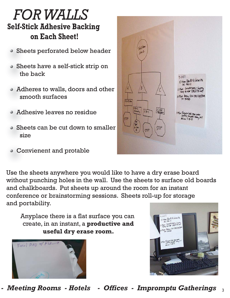# *FOR WALLS* **Self-Stick Adhesive Backing on Each Sheet!**

- Sheets perforated below header
- Sheets have a self-stick strip on the back
- Adheres to walls, doors and other smooth surfaces
- Adhesive leaves no residue
- Sheets can be cut down to smaller size
- Convienent and protable



Use the sheets anywhere you would like to have a dry erase board without punching holes in the wall. Use the sheets to surface old boards and chalkboards. Put sheets up around the room for an instant conference or brainstorming sessions. Sheets roll-up for storage and portability.

Anyplace there is a flat surface you can create, in an instant, a **productive and useful dry erase room.**





<sup>3</sup> *- Meeting Rooms - Hotels - Offices - Impromptu Gatherings*